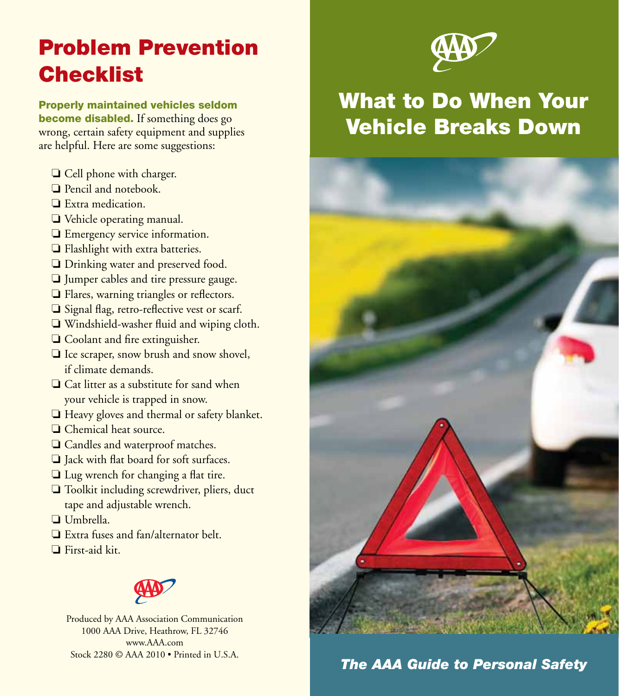# Problem Prevention **Checklist**

Properly maintained vehicles seldom become disabled. If something does go wrong, certain safety equipment and supplies are helpful. Here are some suggestions:

- ❏ Cell phone with charger.
- ❏ Pencil and notebook.
- ❏ Extra medication.
- ❏ Vehicle operating manual.
- ❏ Emergency service information.
- ❏ Flashlight with extra batteries.
- ❏ Drinking water and preserved food.
- ❏ Jumper cables and tire pressure gauge.
- ❏ Flares, warning triangles or reflectors.
- ❏ Signal flag, retro-reflective vest or scarf.
- ❏ Windshield-washer fluid and wiping cloth.
- ❏ Coolant and fire extinguisher.
- ❏ Ice scraper, snow brush and snow shovel, if climate demands.
- ❏ Cat litter as a substitute for sand when your vehicle is trapped in snow.
- ❏ Heavy gloves and thermal or safety blanket.
- ❏ Chemical heat source.
- ❏ Candles and waterproof matches.
- ❏ Jack with flat board for soft surfaces.
- ❏ Lug wrench for changing a flat tire.
- ❏ Toolkit including screwdriver, pliers, duct tape and adjustable wrench.
- ❏ Umbrella.
- ❏ Extra fuses and fan/alternator belt.
- ❏ First-aid kit.



Produced by AAA Association Communication 1000 AAA Drive, Heathrow, FL 32746 www.AAA.com Stock 2280 © AAA 2010 • Printed in U.S.A.



## What to Do When Your Vehicle Breaks Down



*The AAA Guide to Personal Safety*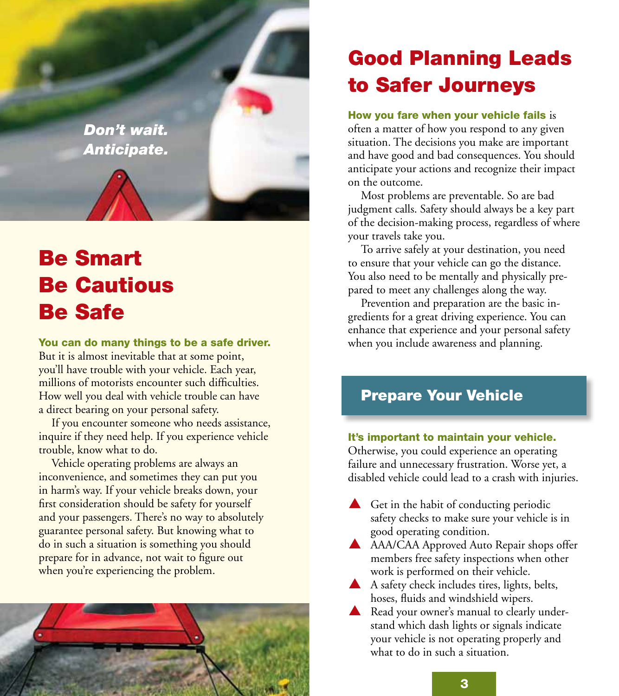

# Be Smart Be Cautious Be Safe

You can do many things to be a safe driver. But it is almost inevitable that at some point, you'll have trouble with your vehicle. Each year, millions of motorists encounter such difficulties. How well you deal with vehicle trouble can have a direct bearing on your personal safety.

If you encounter someone who needs assistance, inquire if they need help. If you experience vehicle trouble, know what to do.

Vehicle operating problems are always an inconvenience, and sometimes they can put you in harm's way. If your vehicle breaks down, your first consideration should be safety for yourself and your passengers. There's no way to absolutely guarantee personal safety. But knowing what to do in such a situation is something you should prepare for in advance, not wait to figure out when you're experiencing the problem.



## Good Planning Leads to Safer Journeys

#### How you fare when your vehicle fails is

often a matter of how you respond to any given situation. The decisions you make are important and have good and bad consequences. You should anticipate your actions and recognize their impact on the outcome.

Most problems are preventable. So are bad judgment calls. Safety should always be a key part of the decision-making process, regardless of where your travels take you.

To arrive safely at your destination, you need to ensure that your vehicle can go the distance. You also need to be mentally and physically prepared to meet any challenges along the way.

Prevention and preparation are the basic ingredients for a great driving experience. You can enhance that experience and your personal safety when you include awareness and planning.

### Prepare Your Vehicle

#### It's important to maintain your vehicle.

Otherwise, you could experience an operating failure and unnecessary frustration. Worse yet, a disabled vehicle could lead to a crash with injuries.

- $\triangle$  Get in the habit of conducting periodic safety checks to make sure your vehicle is in good operating condition.
- A AAA/CAA Approved Auto Repair shops offer members free safety inspections when other work is performed on their vehicle.
- $\blacktriangle$  A safety check includes tires, lights, belts, hoses, fluids and windshield wipers.
- $\triangle$  Read your owner's manual to clearly understand which dash lights or signals indicate your vehicle is not operating properly and what to do in such a situation.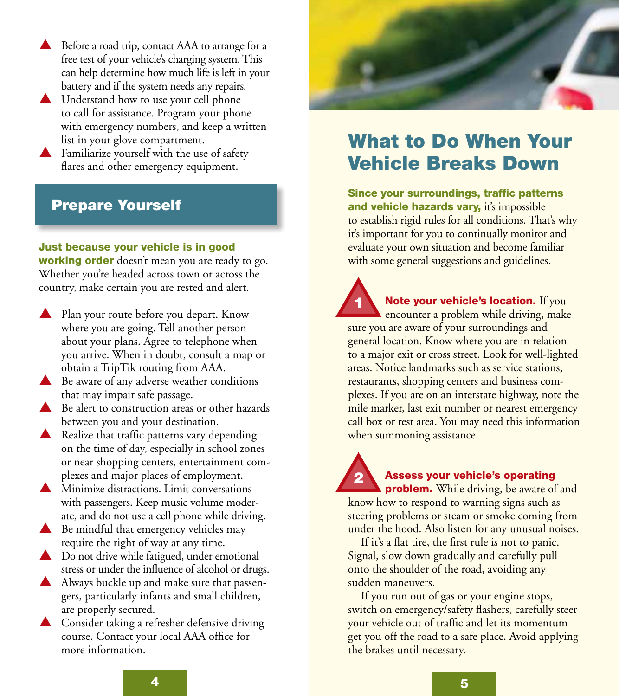- $\triangle$  Before a road trip, contact AAA to arrange for a free test of your vehicle's charging system. This can help determine how much life is left in your battery and if the system needs any repairs.
- $\triangle$  Understand how to use your cell phone to call for assistance. Program your phone with emergency numbers, and keep a written list in your glove compartment.
- $\blacktriangle$  Familiarize yourself with the use of safety flares and other emergency equipment.

### Prepare Yourself

#### Just because your vehicle is in good

**working order** doesn't mean you are ready to go. Whether you're headed across town or across the country, make certain you are rested and alert.

- $\blacktriangle$  Plan your route before you depart. Know where you are going. Tell another person about your plans. Agree to telephone when you arrive. When in doubt, consult a map or obtain a TripTik routing from AAA.
- $\triangle$  Be aware of any adverse weather conditions that may impair safe passage.
- $\triangle$  Be alert to construction areas or other hazards between you and your destination.
- $\triangle$  Realize that traffic patterns vary depending on the time of day, especially in school zones or near shopping centers, entertainment complexes and major places of employment.
- $\blacktriangle$  Minimize distractions. Limit conversations with passengers. Keep music volume moderate, and do not use a cell phone while driving.
- $\triangle$  Be mindful that emergency vehicles may require the right of way at any time.
- $\triangle$  Do not drive while fatigued, under emotional stress or under the influence of alcohol or drugs.
- A Always buckle up and make sure that passengers, particularly infants and small children, are properly secured.
- $\triangle$  Consider taking a refresher defensive driving course. Contact your local AAA office for more information.



### What to Do When Your Vehicle Breaks Down

Since your surroundings, traffic patterns and vehicle hazards vary, it's impossible to establish rigid rules for all conditions. That's why it's important for you to continually monitor and evaluate your own situation and become familiar with some general suggestions and guidelines.

Note your vehicle's location. If you encounter a problem while driving, make sure you are aware of your surroundings and general location. Know where you are in relation to a major exit or cross street. Look for well-lighted areas. Notice landmarks such as service stations, restaurants, shopping centers and business complexes. If you are on an interstate highway, note the mile marker, last exit number or nearest emergency call box or rest area. You may need this information when summoning assistance. 1

### 2

#### Assess your vehicle's operating

**problem.** While driving, be aware of and know how to respond to warning signs such as steering problems or steam or smoke coming from under the hood. Also listen for any unusual noises.

If it's a flat tire, the first rule is not to panic. Signal, slow down gradually and carefully pull onto the shoulder of the road, avoiding any sudden maneuvers.

If you run out of gas or your engine stops, switch on emergency/safety flashers, carefully steer your vehicle out of traffic and let its momentum get you off the road to a safe place. Avoid applying the brakes until necessary.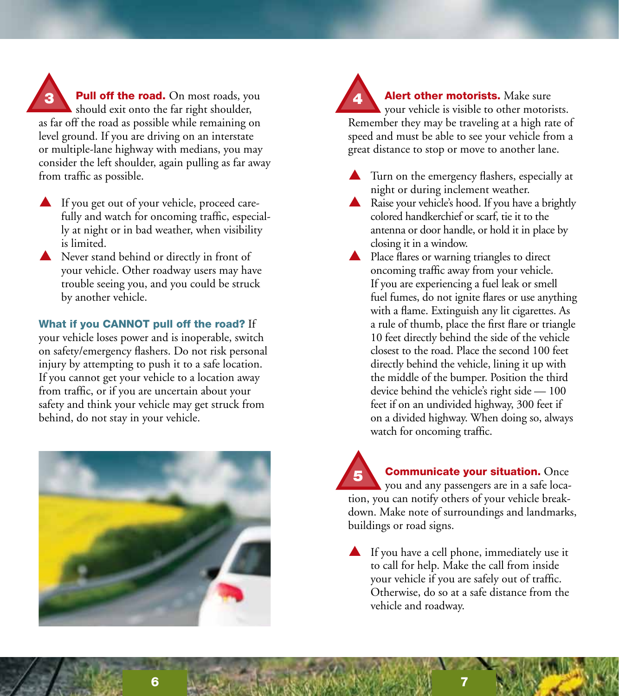**3** Pull off the road. On most roads, you should exit onto the far right shoulder, as far off the road as possible while remaining on level ground. If you are driving on an interstate or multiple-lane highway with medians, you may consider the left shoulder, again pulling as far away from traffic as possible.

- $\blacktriangle$  If you get out of your vehicle, proceed carefully and watch for oncoming traffic, especially at night or in bad weather, when visibility is limited.
- $\triangle$  Never stand behind or directly in front of your vehicle. Other roadway users may have trouble seeing you, and you could be struck by another vehicle.

What if you CANNOT pull off the road? If

your vehicle loses power and is inoperable, switch on safety/emergency flashers. Do not risk personal injury by attempting to push it to a safe location. If you cannot get your vehicle to a location away from traffic, or if you are uncertain about your safety and think your vehicle may get struck from behind, do not stay in your vehicle.



Alert other motorists. Make sure your vehicle is visible to other motorists. Remember they may be traveling at a high rate of speed and must be able to see your vehicle from a great distance to stop or move to another lane.

- $\triangle$  Turn on the emergency flashers, especially at night or during inclement weather.
- $\blacktriangle$  Raise your vehicle's hood. If you have a brightly colored handkerchief or scarf, tie it to the antenna or door handle, or hold it in place by closing it in a window.
- $\triangle$  Place flares or warning triangles to direct oncoming traffic away from your vehicle. If you are experiencing a fuel leak or smell fuel fumes, do not ignite flares or use anything with a flame. Extinguish any lit cigarettes. As a rule of thumb, place the first flare or triangle 10 feet directly behind the side of the vehicle closest to the road. Place the second 100 feet directly behind the vehicle, lining it up with the middle of the bumper. Position the third device behind the vehicle's right side — 100 feet if on an undivided highway, 300 feet if on a divided highway. When doing so, always watch for oncoming traffic.

**Communicate your situation.** Once you and any passengers are in a safe location, you can notify others of your vehicle breakdown. Make note of surroundings and landmarks, buildings or road signs. 5

 $\blacktriangle$  If you have a cell phone, immediately use it to call for help. Make the call from inside your vehicle if you are safely out of traffic. Otherwise, do so at a safe distance from the vehicle and roadway.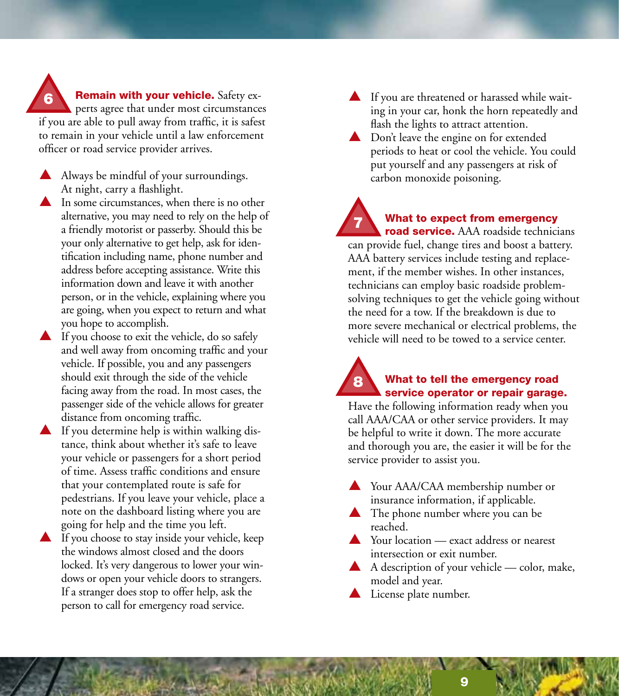Remain with your vehicle. Safety experts agree that under most circumstances if you are able to pull away from traffic, it is safest to remain in your vehicle until a law enforcement officer or road service provider arrives. 6

- p Always be mindful of your surroundings. At night, carry a flashlight.
- In some circumstances, when there is no other alternative, you may need to rely on the help of a friendly motorist or passerby. Should this be your only alternative to get help, ask for identification including name, phone number and address before accepting assistance. Write this information down and leave it with another person, or in the vehicle, explaining where you are going, when you expect to return and what you hope to accomplish.
- $\blacktriangle$  If you choose to exit the vehicle, do so safely and well away from oncoming traffic and your vehicle. If possible, you and any passengers should exit through the side of the vehicle facing away from the road. In most cases, the passenger side of the vehicle allows for greater distance from oncoming traffic.
- $\blacktriangle$  If you determine help is within walking distance, think about whether it's safe to leave your vehicle or passengers for a short period of time. Assess traffic conditions and ensure that your contemplated route is safe for pedestrians. If you leave your vehicle, place a note on the dashboard listing where you are going for help and the time you left.
- $\blacktriangle$  If you choose to stay inside your vehicle, keep the windows almost closed and the doors locked. It's very dangerous to lower your windows or open your vehicle doors to strangers. If a stranger does stop to offer help, ask the person to call for emergency road service.
- $\blacktriangle$  If you are threatened or harassed while waiting in your car, honk the horn repeatedly and flash the lights to attract attention.
- $\triangle$  Don't leave the engine on for extended periods to heat or cool the vehicle. You could put yourself and any passengers at risk of carbon monoxide poisoning.

What to expect from emergency road service. AAA roadside technicians can provide fuel, change tires and boost a battery. AAA battery services include testing and replacement, if the member wishes. In other instances, technicians can employ basic roadside problemsolving techniques to get the vehicle going without the need for a tow. If the breakdown is due to more severe mechanical or electrical problems, the vehicle will need to be towed to a service center. 7

#### What to tell the emergency road service operator or repair garage. 8

Have the following information ready when you call AAA/CAA or other service providers. It may be helpful to write it down. The more accurate and thorough you are, the easier it will be for the service provider to assist you.

- **A** Your AAA/CAA membership number or insurance information, if applicable.
- $\blacktriangle$  The phone number where you can be reached.
- $\triangle$  Your location exact address or nearest intersection or exit number.
- A description of your vehicle color, make, model and year.
- $\blacktriangle$  License plate number.